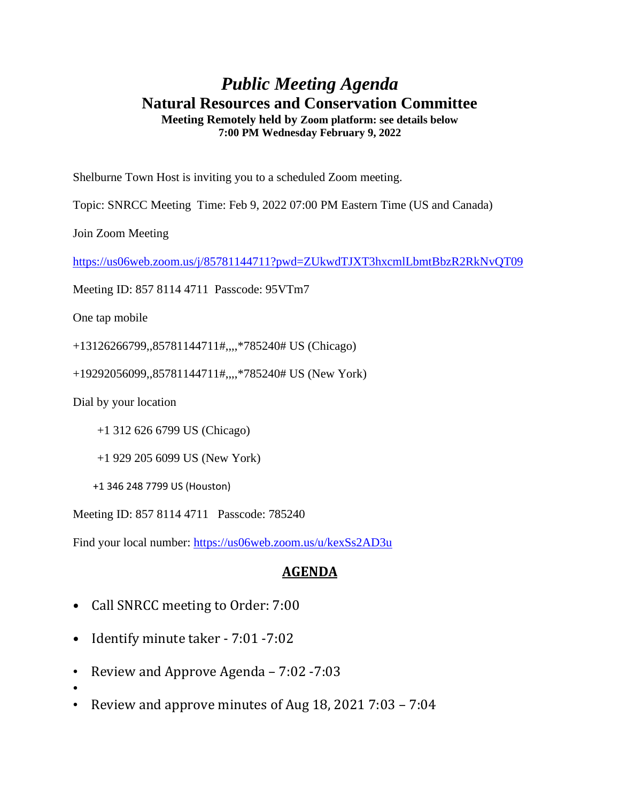## *Public Meeting Agenda* **Natural Resources and Conservation Committee Meeting Remotely held by Zoom platform: see details below**

**7:00 PM Wednesday February 9, 2022**

Shelburne Town Host is inviting you to a scheduled Zoom meeting.

Topic: SNRCC Meeting Time: Feb 9, 2022 07:00 PM Eastern Time (US and Canada)

Join Zoom Meeting

<https://us06web.zoom.us/j/85781144711?pwd=ZUkwdTJXT3hxcmlLbmtBbzR2RkNvQT09>

Meeting ID: 857 8114 4711 Passcode: 95VTm7

One tap mobile

+13126266799,,85781144711#,,,,\*785240# US (Chicago)

+19292056099,,85781144711#,,,,\*785240# US (New York)

Dial by your location

•

+1 312 626 6799 US (Chicago)

+1 929 205 6099 US (New York)

+1 346 248 7799 US (Houston)

Meeting ID: 857 8114 4711 Passcode: 785240

Find your local number:<https://us06web.zoom.us/u/kexSs2AD3u>

## **AGENDA**

- Call SNRCC meeting to Order: 7:00
- Identify minute taker 7:01 7:02
- Review and Approve Agenda 7:02 -7:03
- Review and approve minutes of Aug 18, 2021 7:03 7:04